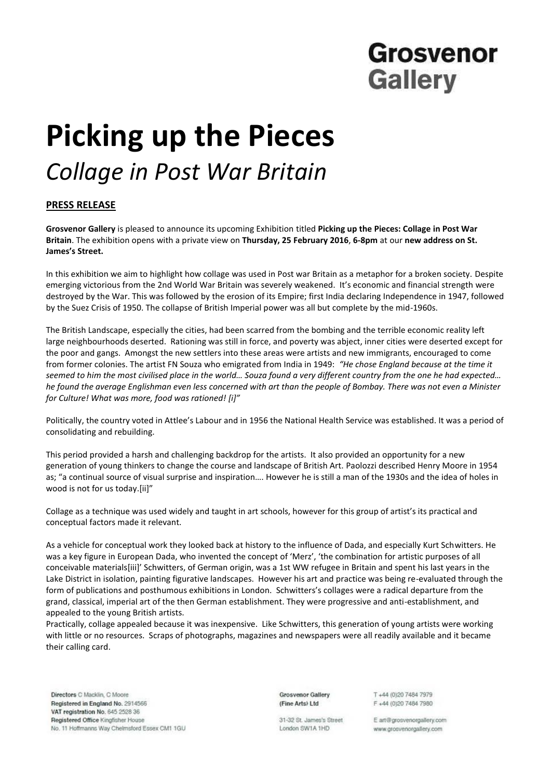## Grosvenor **Gallery**

# **Picking up the Pieces** *Collage in Post War Britain*

### **PRESS RELEASE**

**Grosvenor Gallery** is pleased to announce its upcoming Exhibition titled **Picking up the Pieces: Collage in Post War Britain**. The exhibition opens with a private view on **Thursday, 25 February 2016**, **6-8pm** at our **new address on St. James's Street.**

In this exhibition we aim to highlight how collage was used in Post war Britain as a metaphor for a broken society. Despite emerging victorious from the 2nd World War Britain was severely weakened. It's economic and financial strength were destroyed by the War. This was followed by the erosion of its Empire; first India declaring Independence in 1947, followed by the Suez Crisis of 1950. The collapse of British Imperial power was all but complete by the mid-1960s.

The British Landscape, especially the cities, had been scarred from the bombing and the terrible economic reality left large neighbourhoods deserted. Rationing was still in force, and poverty was abject, inner cities were deserted except for the poor and gangs. Amongst the new settlers into these areas were artists and new immigrants, encouraged to come from former colonies. The artist FN Souza who emigrated from India in 1949: *"He chose England because at the time it seemed to him the most civilised place in the world… Souza found a very different country from the one he had expected… he found the average Englishman even less concerned with art than the people of Bombay. There was not even a Minister for Culture! What was more, food was rationed! [i]"*

Politically, the country voted in Attlee's Labour and in 1956 the National Health Service was established. It was a period of consolidating and rebuilding.

This period provided a harsh and challenging backdrop for the artists. It also provided an opportunity for a new generation of young thinkers to change the course and landscape of British Art. Paolozzi described Henry Moore in 1954 as; "a continual source of visual surprise and inspiration…. However he is still a man of the 1930s and the idea of holes in wood is not for us today.[ii]"

Collage as a technique was used widely and taught in art schools, however for this group of artist's its practical and conceptual factors made it relevant.

As a vehicle for conceptual work they looked back at history to the influence of Dada, and especially Kurt Schwitters. He was a key figure in European Dada, who invented the concept of 'Merz', 'the combination for artistic purposes of all conceivable materials[iii]' Schwitters, of German origin, was a 1st WW refugee in Britain and spent his last years in the Lake District in isolation, painting figurative landscapes. However his art and practice was being re-evaluated through the form of publications and posthumous exhibitions in London. Schwitters's collages were a radical departure from the grand, classical, imperial art of the then German establishment. They were progressive and anti-establishment, and appealed to the young British artists.

Practically, collage appealed because it was inexpensive. Like Schwitters, this generation of young artists were working with little or no resources. Scraps of photographs, magazines and newspapers were all readily available and it became their calling card.

Directors C Macklin, C Moore Registered in England No. 2914566 VAT registration No. 645 2528 36 Registered Office Kingfisher House No. 11 Hoffmanns Way Chelmsford Essex CM1 1GU **Grosvenor Gallery** (Fine Arts) Ltd

T +44 (0)20 7484 7979 F +44 (0)20 7484 7980

31-32 St. James's Street London SW1A 1HD

E art@grosvenorgallery.com www.grosvenorgallery.com